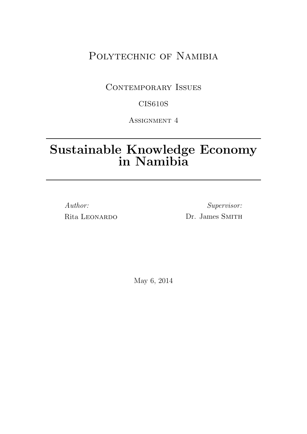# POLYTECHNIC OF NAMIBIA

## CONTEMPORARY ISSUES

## CIS610S

Assignment 4

# Sustainable Knowledge Economy in Namibia

Author: Rita LEONARDO

Supervisor: Dr. James SMITH

May 6, 2014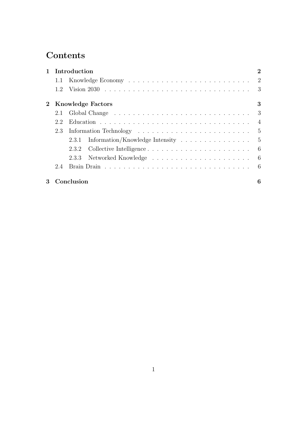# **Contents**

|                |     | 1 Introduction                          | $\overline{2}$ |
|----------------|-----|-----------------------------------------|----------------|
|                |     |                                         |                |
|                |     |                                         |                |
|                |     | <b>Knowledge Factors</b>                | 3              |
|                |     |                                         |                |
|                | 2.2 |                                         |                |
|                | 2.3 |                                         |                |
|                |     | 2.3.1 Information/Knowledge Intensity 5 |                |
|                |     | 2.3.2                                   |                |
|                |     |                                         |                |
|                | 2.4 |                                         |                |
| 3 <sup>1</sup> |     | Conclusion                              | 6              |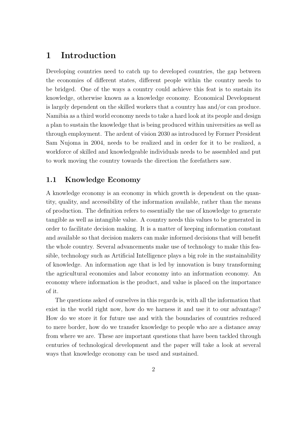## 1 Introduction

Developing countries need to catch up to developed countries, the gap between the economies of different states, different people within the country needs to be bridged. One of the ways a country could achieve this feat is to sustain its knowledge, otherwise known as a knowledge economy. Economical Development is largely dependent on the skilled workers that a country has and/or can produce. Namibia as a third world economy needs to take a hard look at its people and design a plan to sustain the knowledge that is being produced within universities as well as through employment. The ardent of vision 2030 as introduced by Former President Sam Nujoma in 2004, needs to be realized and in order for it to be realized, a workforce of skilled and knowledgeable individuals needs to be assembled and put to work moving the country towards the direction the forefathers saw.

#### 1.1 Knowledge Economy

A knowledge economy is an economy in which growth is dependent on the quantity, quality, and accessibility of the information available, rather than the means of production. The definition refers to essentially the use of knowledge to generate tangible as well as intangible value. A country needs this values to be generated in order to facilitate decision making. It is a matter of keeping information constant and available so that decision makers can make informed decisions that will benefit the whole country. Several advancements make use of technology to make this feasible, technology such as Artificial Intelligence plays a big role in the sustainability of knowledge. An information age that is led by innovation is busy transforming the agricultural economies and labor economy into an information economy. An economy where information is the product, and value is placed on the importance of it.

The questions asked of ourselves in this regards is, with all the information that exist in the world right now, how do we harness it and use it to our advantage? How do we store it for future use and with the boundaries of countries reduced to mere border, how do we transfer knowledge to people who are a distance away from where we are. These are important questions that have been tackled through centuries of technological development and the paper will take a look at several ways that knowledge economy can be used and sustained.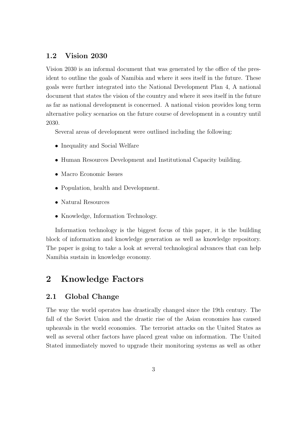### 1.2 Vision 2030

Vision 2030 is an informal document that was generated by the office of the president to outline the goals of Namibia and where it sees itself in the future. These goals were further integrated into the National Development Plan 4, A national document that states the vision of the country and where it sees itself in the future as far as national development is concerned. A national vision provides long term alternative policy scenarios on the future course of development in a country until 2030.

Several areas of development were outlined including the following:

- Inequality and Social Welfare
- Human Resources Development and Institutional Capacity building.
- Macro Economic Issues
- Population, health and Development.
- Natural Resources
- Knowledge, Information Technology.

Information technology is the biggest focus of this paper, it is the building block of information and knowledge generation as well as knowledge repository. The paper is going to take a look at several technological advances that can help Namibia sustain in knowledge economy.

## 2 Knowledge Factors

### 2.1 Global Change

The way the world operates has drastically changed since the 19th century. The fall of the Soviet Union and the drastic rise of the Asian economies has caused upheavals in the world economies. The terrorist attacks on the United States as well as several other factors have placed great value on information. The United Stated immediately moved to upgrade their monitoring systems as well as other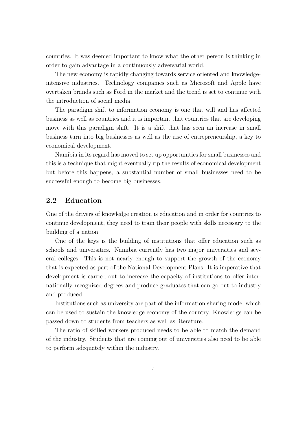countries. It was deemed important to know what the other person is thinking in order to gain advantage in a continuously adversarial world.

The new economy is rapidly changing towards service oriented and knowledgeintensive industries. Technology companies such as Microsoft and Apple have overtaken brands such as Ford in the market and the trend is set to continue with the introduction of social media.

The paradigm shift to information economy is one that will and has affected business as well as countries and it is important that countries that are developing move with this paradigm shift. It is a shift that has seen an increase in small business turn into big businesses as well as the rise of entrepreneurship, a key to economical development.

Namibia in its regard has moved to set up opportunities for small businesses and this is a technique that might eventually rip the results of economical development but before this happens, a substantial number of small businesses need to be successful enough to become big businesses.

### 2.2 Education

One of the drivers of knowledge creation is education and in order for countries to continue development, they need to train their people with skills necessary to the building of a nation.

One of the keys is the building of institutions that offer education such as schools and universities. Namibia currently has two major universities and several colleges. This is not nearly enough to support the growth of the economy that is expected as part of the National Development Plans. It is imperative that development is carried out to increase the capacity of institutions to offer internationally recognized degrees and produce graduates that can go out to industry and produced.

Institutions such as university are part of the information sharing model which can be used to sustain the knowledge economy of the country. Knowledge can be passed down to students from teachers as well as literature.

The ratio of skilled workers produced needs to be able to match the demand of the industry. Students that are coming out of universities also need to be able to perform adequately within the industry.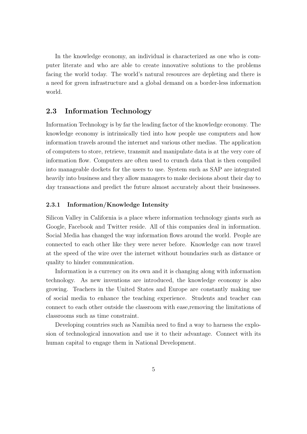In the knowledge economy, an individual is characterized as one who is computer literate and who are able to create innovative solutions to the problems facing the world today. The world's natural resources are depleting and there is a need for green infrastructure and a global demand on a border-less information world.

#### 2.3 Information Technology

Information Technology is by far the leading factor of the knowledge economy. The knowledge economy is intrinsically tied into how people use computers and how information travels around the internet and various other medias. The application of computers to store, retrieve, transmit and manipulate data is at the very core of information flow. Computers are often used to crunch data that is then compiled into manageable dockets for the users to use. System such as SAP are integrated heavily into business and they allow managers to make decisions about their day to day transactions and predict the future almost accurately about their businesses.

#### 2.3.1 Information/Knowledge Intensity

Silicon Valley in California is a place where information technology giants such as Google, Facebook and Twitter reside. All of this companies deal in information. Social Media has changed the way information flows around the world. People are connected to each other like they were never before. Knowledge can now travel at the speed of the wire over the internet without boundaries such as distance or quality to hinder communication.

Information is a currency on its own and it is changing along with information technology. As new inventions are introduced, the knowledge economy is also growing. Teachers in the United States and Europe are constantly making use of social media to enhance the teaching experience. Students and teacher can connect to each other outside the classroom with ease,removing the limitations of classrooms such as time constraint.

Developing countries such as Namibia need to find a way to harness the explosion of technological innovation and use it to their advantage. Connect with its human capital to engage them in National Development.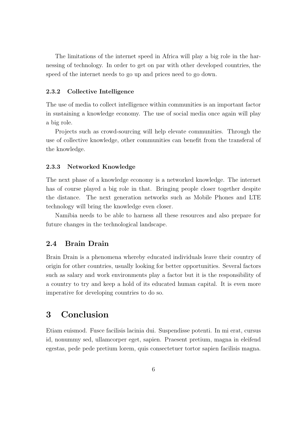The limitations of the internet speed in Africa will play a big role in the harnessing of technology. In order to get on par with other developed countries, the speed of the internet needs to go up and prices need to go down.

#### 2.3.2 Collective Intelligence

The use of media to collect intelligence within communities is an important factor in sustaining a knowledge economy. The use of social media once again will play a big role.

Projects such as crowd-sourcing will help elevate communities. Through the use of collective knowledge, other communities can benefit from the transferal of the knowledge.

#### 2.3.3 Networked Knowledge

The next phase of a knowledge economy is a networked knowledge. The internet has of course played a big role in that. Bringing people closer together despite the distance. The next generation networks such as Mobile Phones and LTE technology will bring the knowledge even closer.

Namibia needs to be able to harness all these resources and also prepare for future changes in the technological landscape.

#### 2.4 Brain Drain

Brain Drain is a phenomena whereby educated individuals leave their country of origin for other countries, usually looking for better opportunities. Several factors such as salary and work environments play a factor but it is the responsibility of a country to try and keep a hold of its educated human capital. It is even more imperative for developing countries to do so.

## 3 Conclusion

Etiam euismod. Fusce facilisis lacinia dui. Suspendisse potenti. In mi erat, cursus id, nonummy sed, ullamcorper eget, sapien. Praesent pretium, magna in eleifend egestas, pede pede pretium lorem, quis consectetuer tortor sapien facilisis magna.